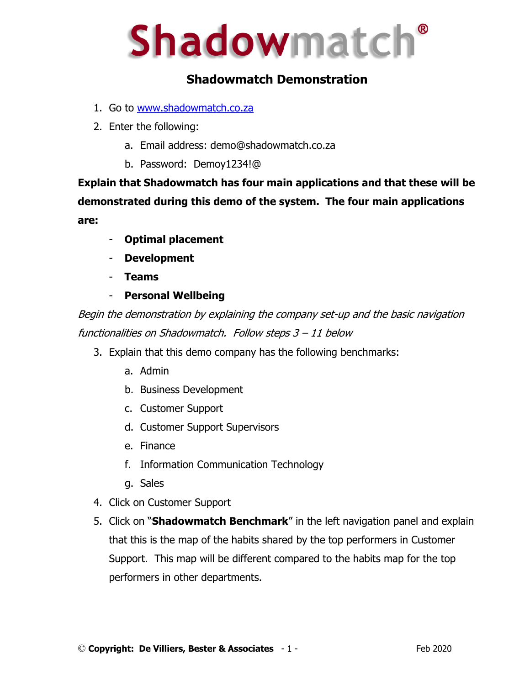# **Shadowmatch®**

# **Shadowmatch Demonstration**

- 1. Go to www.shadowmatch.co.za
- 2. Enter the following:
	- a. Email address: demo@shadowmatch.co.za
	- b. Password: Demoy1234!@

**Explain that Shadowmatch has four main applications and that these will be demonstrated during this demo of the system. The four main applications are:**

- **Optimal placement**
- **Development**
- **Teams**
- **Personal Wellbeing**

Begin the demonstration by explaining the company set-up and the basic navigation functionalities on Shadowmatch. Follow steps 3 – 11 below

- 3. Explain that this demo company has the following benchmarks:
	- a. Admin
	- b. Business Development
	- c. Customer Support
	- d. Customer Support Supervisors
	- e. Finance
	- f. Information Communication Technology
	- g. Sales
- 4. Click on Customer Support
- 5. Click on "**Shadowmatch Benchmark**" in the left navigation panel and explain that this is the map of the habits shared by the top performers in Customer Support. This map will be different compared to the habits map for the top performers in other departments.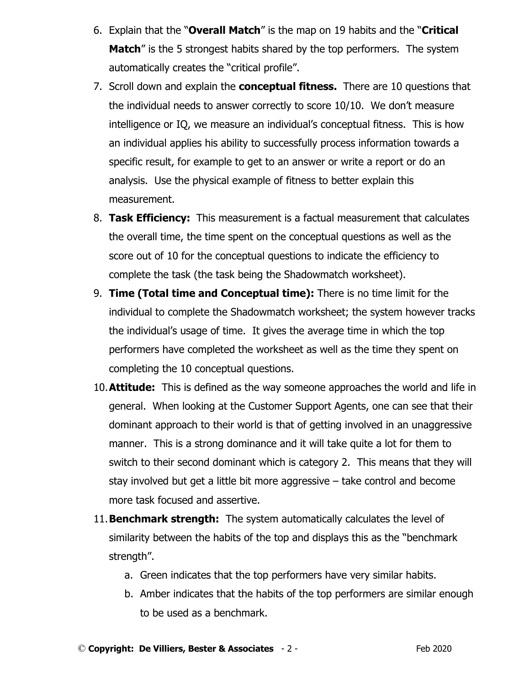- 6. Explain that the "**Overall Match**" is the map on 19 habits and the "**Critical Match**" is the 5 strongest habits shared by the top performers. The system automatically creates the "critical profile".
- 7. Scroll down and explain the **conceptual fitness.** There are 10 questions that the individual needs to answer correctly to score 10/10. We don't measure intelligence or IQ, we measure an individual's conceptual fitness. This is how an individual applies his ability to successfully process information towards a specific result, for example to get to an answer or write a report or do an analysis. Use the physical example of fitness to better explain this measurement.
- 8. **Task Efficiency:** This measurement is a factual measurement that calculates the overall time, the time spent on the conceptual questions as well as the score out of 10 for the conceptual questions to indicate the efficiency to complete the task (the task being the Shadowmatch worksheet).
- 9. **Time (Total time and Conceptual time):** There is no time limit for the individual to complete the Shadowmatch worksheet; the system however tracks the individual's usage of time. It gives the average time in which the top performers have completed the worksheet as well as the time they spent on completing the 10 conceptual questions.
- 10.**Attitude:** This is defined as the way someone approaches the world and life in general. When looking at the Customer Support Agents, one can see that their dominant approach to their world is that of getting involved in an unaggressive manner. This is a strong dominance and it will take quite a lot for them to switch to their second dominant which is category 2. This means that they will stay involved but get a little bit more aggressive – take control and become more task focused and assertive.
- 11.**Benchmark strength:** The system automatically calculates the level of similarity between the habits of the top and displays this as the "benchmark strength".
	- a. Green indicates that the top performers have very similar habits.
	- b. Amber indicates that the habits of the top performers are similar enough to be used as a benchmark.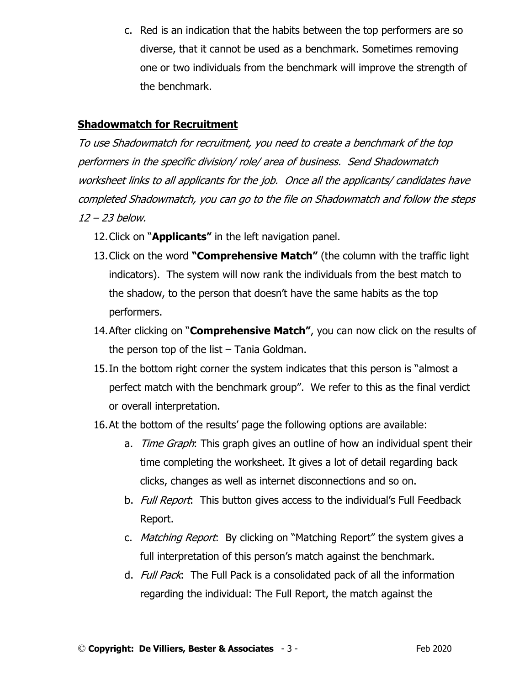c. Red is an indication that the habits between the top performers are so diverse, that it cannot be used as a benchmark. Sometimes removing one or two individuals from the benchmark will improve the strength of the benchmark.

## **Shadowmatch for Recruitment**

To use Shadowmatch for recruitment, you need to create a benchmark of the top performers in the specific division/ role/ area of business. Send Shadowmatch worksheet links to all applicants for the job. Once all the applicants/ candidates have completed Shadowmatch, you can go to the file on Shadowmatch and follow the steps 12 – 23 below.

- 12.Click on "**Applicants"** in the left navigation panel.
- 13.Click on the word **"Comprehensive Match"** (the column with the traffic light indicators). The system will now rank the individuals from the best match to the shadow, to the person that doesn't have the same habits as the top performers.
- 14.After clicking on "**Comprehensive Match"**, you can now click on the results of the person top of the list – Tania Goldman.
- 15.In the bottom right corner the system indicates that this person is "almost a perfect match with the benchmark group". We refer to this as the final verdict or overall interpretation.
- 16.At the bottom of the results' page the following options are available:
	- a. *Time Graph*: This graph gives an outline of how an individual spent their time completing the worksheet. It gives a lot of detail regarding back clicks, changes as well as internet disconnections and so on.
	- b. Full Report: This button gives access to the individual's Full Feedback Report.
	- c. *Matching Report*: By clicking on "Matching Report" the system gives a full interpretation of this person's match against the benchmark.
	- d. Full Pack: The Full Pack is a consolidated pack of all the information regarding the individual: The Full Report, the match against the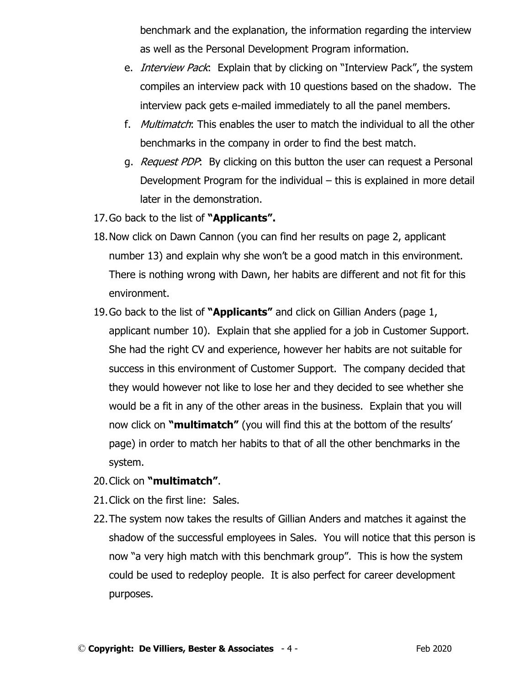benchmark and the explanation, the information regarding the interview as well as the Personal Development Program information.

- e. *Interview Pack*: Explain that by clicking on "Interview Pack", the system compiles an interview pack with 10 questions based on the shadow. The interview pack gets e-mailed immediately to all the panel members.
- f. Multimatch: This enables the user to match the individual to all the other benchmarks in the company in order to find the best match.
- g. *Request PDP*: By clicking on this button the user can request a Personal Development Program for the individual – this is explained in more detail later in the demonstration.
- 17.Go back to the list of **"Applicants".**
- 18.Now click on Dawn Cannon (you can find her results on page 2, applicant number 13) and explain why she won't be a good match in this environment. There is nothing wrong with Dawn, her habits are different and not fit for this environment.
- 19.Go back to the list of **"Applicants"** and click on Gillian Anders (page 1, applicant number 10). Explain that she applied for a job in Customer Support. She had the right CV and experience, however her habits are not suitable for success in this environment of Customer Support. The company decided that they would however not like to lose her and they decided to see whether she would be a fit in any of the other areas in the business. Explain that you will now click on **"multimatch"** (you will find this at the bottom of the results' page) in order to match her habits to that of all the other benchmarks in the system.
- 20.Click on **"multimatch"**.
- 21.Click on the first line: Sales.
- 22.The system now takes the results of Gillian Anders and matches it against the shadow of the successful employees in Sales. You will notice that this person is now "a very high match with this benchmark group". This is how the system could be used to redeploy people. It is also perfect for career development purposes.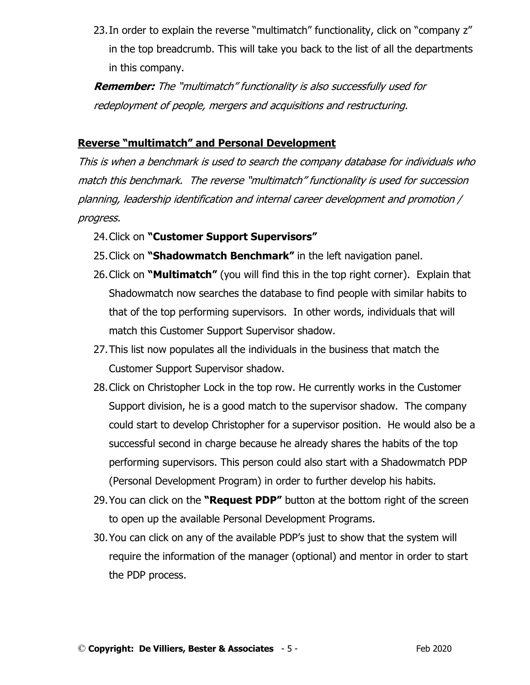23. In order to explain the reverse "multimatch" functionality, click on "company z" in the top breadcrumb. This will take you back to the list of all the departments in this company.

**Remember:** The "multimatch" functionality is also successfully used for redeployment of people, mergers and acquisitions and restructuring.

# **Reverse "multimatch" and Personal Development**

This is when a benchmark is used to search the company database for individuals who match this benchmark. The reverse "multimatch" functionality is used for succession planning, leadership identification and internal career development and promotion / progress.

- 24.Click on **"Customer Support Supervisors"**
- 25.Click on **"Shadowmatch Benchmark"** in the left navigation panel.
- 26.Click on **"Multimatch"** (you will find this in the top right corner). Explain that Shadowmatch now searches the database to find people with similar habits to that of the top performing supervisors. In other words, individuals that will match this Customer Support Supervisor shadow.
- 27.This list now populates all the individuals in the business that match the Customer Support Supervisor shadow.
- 28.Click on Christopher Lock in the top row. He currently works in the Customer Support division, he is a good match to the supervisor shadow. The company could start to develop Christopher for a supervisor position. He would also be a successful second in charge because he already shares the habits of the top performing supervisors. This person could also start with a Shadowmatch PDP (Personal Development Program) in order to further develop his habits.
- 29.You can click on the **"Request PDP"** button at the bottom right of the screen to open up the available Personal Development Programs.
- 30.You can click on any of the available PDP's just to show that the system will require the information of the manager (optional) and mentor in order to start the PDP process.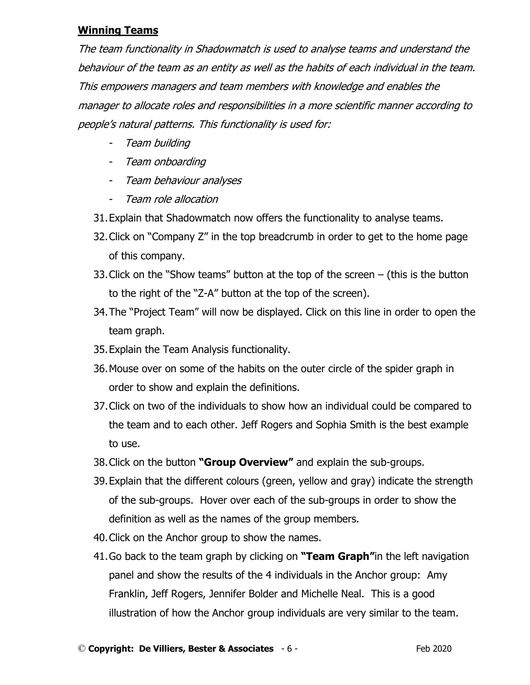### **Winning Teams**

The team functionality in Shadowmatch is used to analyse teams and understand the behaviour of the team as an entity as well as the habits of each individual in the team. This empowers managers and team members with knowledge and enables the manager to allocate roles and responsibilities in a more scientific manner according to people's natural patterns. This functionality is used for:

- Team building
- Team onboarding
- Team behaviour analyses
- Team role allocation
- 31.Explain that Shadowmatch now offers the functionality to analyse teams.
- 32.Click on "Company Z" in the top breadcrumb in order to get to the home page of this company.
- 33.Click on the "Show teams" button at the top of the screen (this is the button to the right of the "Z-A" button at the top of the screen).
- 34.The "Project Team" will now be displayed. Click on this line in order to open the team graph.
- 35.Explain the Team Analysis functionality.
- 36.Mouse over on some of the habits on the outer circle of the spider graph in order to show and explain the definitions.
- 37.Click on two of the individuals to show how an individual could be compared to the team and to each other. Jeff Rogers and Sophia Smith is the best example to use.
- 38.Click on the button **"Group Overview"** and explain the sub-groups.
- 39.Explain that the different colours (green, yellow and gray) indicate the strength of the sub-groups. Hover over each of the sub-groups in order to show the definition as well as the names of the group members.
- 40.Click on the Anchor group to show the names.
- 41.Go back to the team graph by clicking on **"Team Graph"**in the left navigation panel and show the results of the 4 individuals in the Anchor group: Amy Franklin, Jeff Rogers, Jennifer Bolder and Michelle Neal. This is a good illustration of how the Anchor group individuals are very similar to the team.